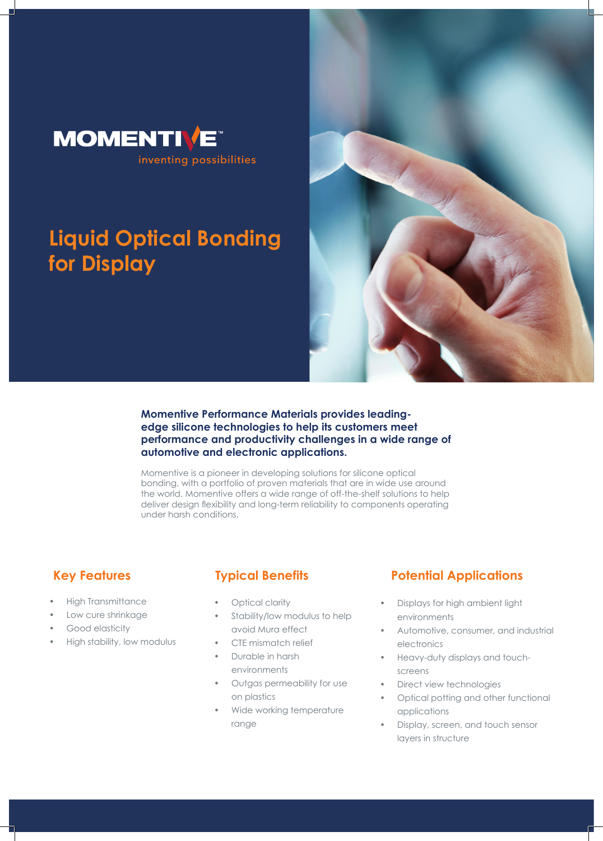

# **Liquid Optical Bonding for Display**



## **Momentive Performance Materials provides leadingedge silicone technologies to help its customers meet performance and productivity challenges in a wide range of automotive and electronic applications.**

Momentive is a pioneer in developing solutions for silicone optical bonding, with a portfolio of proven materials that are in wide use around the world. Momentive offers a wide range of off-the-shelf solutions to help deliver design flexibility and long-term reliability to components operating under harsh conditions.

- High Transmittance
- Low cure shrinkage
- Good elasticity
- High stability, low modulus

- Optical clarity
- Stability/low modulus to help avoid Mura effect
- CTE mismatch relief
- Durable in harsh environments
- Outgas permeability for use on plastics
- Wide working temperature range

## **Key Features Typical Benefits Potential Applications**

- Displays for high ambient light environments
- Automotive, consumer, and industrial electronics
- Heavy-duty displays and touchscreens
- Direct view technologies
- Optical potting and other functional applications
- Display, screen, and touch sensor layers in structure